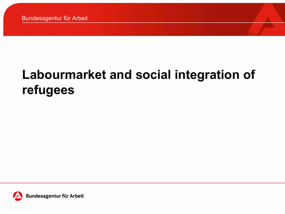## **Labourmarket and social integration of refugees**

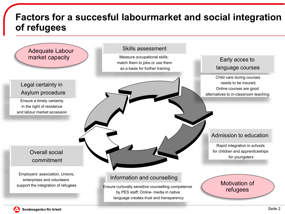## **Factors for a succesful labourmarket and social integration of refugees**

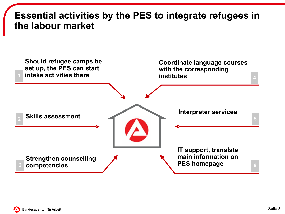## **Essential activities by the PES to integrate refugees in the labour market**